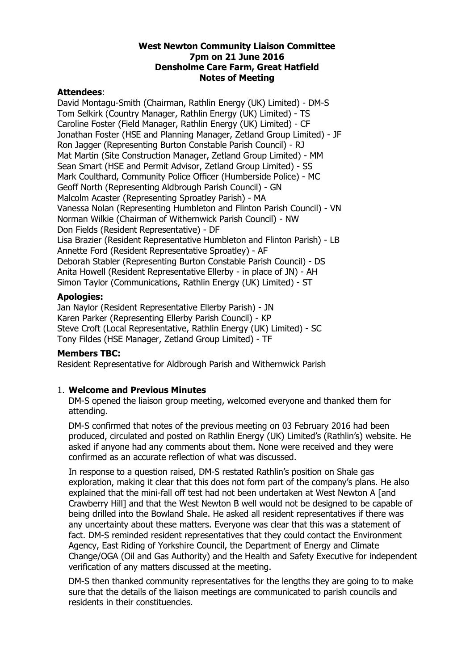#### **West Newton Community Liaison Committee 7pm on 21 June 2016 Densholme Care Farm, Great Hatfield Notes of Meeting**

### **Attendees**:

David Montagu-Smith (Chairman, Rathlin Energy (UK) Limited) - DM-S Tom Selkirk (Country Manager, Rathlin Energy (UK) Limited) - TS Caroline Foster (Field Manager, Rathlin Energy (UK) Limited) - CF Jonathan Foster (HSE and Planning Manager, Zetland Group Limited) - JF Ron Jagger (Representing Burton Constable Parish Council) - RJ Mat Martin (Site Construction Manager, Zetland Group Limited) - MM Sean Smart (HSE and Permit Advisor, Zetland Group Limited) - SS Mark Coulthard, Community Police Officer (Humberside Police) - MC Geoff North (Representing Aldbrough Parish Council) - GN Malcolm Acaster (Representing Sproatley Parish) - MA Vanessa Nolan (Representing Humbleton and Flinton Parish Council) - VN Norman Wilkie (Chairman of Withernwick Parish Council) - NW Don Fields (Resident Representative) - DF Lisa Brazier (Resident Representative Humbleton and Flinton Parish) - LB Annette Ford (Resident Representative Sproatley) - AF Deborah Stabler (Representing Burton Constable Parish Council) - DS Anita Howell (Resident Representative Ellerby - in place of JN) - AH Simon Taylor (Communications, Rathlin Energy (UK) Limited) - ST

# **Apologies:**

Jan Naylor (Resident Representative Ellerby Parish) - JN Karen Parker (Representing Ellerby Parish Council) - KP Steve Croft (Local Representative, Rathlin Energy (UK) Limited) - SC Tony Fildes (HSE Manager, Zetland Group Limited) - TF

#### **Members TBC:**

Resident Representative for Aldbrough Parish and Withernwick Parish

# 1. **Welcome and Previous Minutes**

DM-S opened the liaison group meeting, welcomed everyone and thanked them for attending.

DM-S confirmed that notes of the previous meeting on 03 February 2016 had been produced, circulated and posted on Rathlin Energy (UK) Limited's (Rathlin's) website. He asked if anyone had any comments about them. None were received and they were confirmed as an accurate reflection of what was discussed.

In response to a question raised, DM-S restated Rathlin's position on Shale gas exploration, making it clear that this does not form part of the company's plans. He also explained that the mini-fall off test had not been undertaken at West Newton A [and Crawberry Hill] and that the West Newton B well would not be designed to be capable of being drilled into the Bowland Shale. He asked all resident representatives if there was any uncertainty about these matters. Everyone was clear that this was a statement of fact. DM-S reminded resident representatives that they could contact the Environment Agency, East Riding of Yorkshire Council, the Department of Energy and Climate Change/OGA (Oil and Gas Authority) and the Health and Safety Executive for independent verification of any matters discussed at the meeting.

DM-S then thanked community representatives for the lengths they are going to to make sure that the details of the liaison meetings are communicated to parish councils and residents in their constituencies.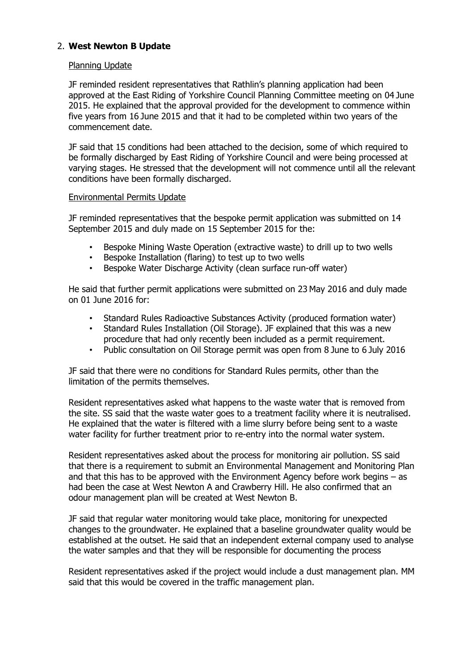# 2. **West Newton B Update**

### Planning Update

JF reminded resident representatives that Rathlin's planning application had been approved at the East Riding of Yorkshire Council Planning Committee meeting on 04 June 2015. He explained that the approval provided for the development to commence within five years from 16 June 2015 and that it had to be completed within two years of the commencement date.

JF said that 15 conditions had been attached to the decision, some of which required to be formally discharged by East Riding of Yorkshire Council and were being processed at varying stages. He stressed that the development will not commence until all the relevant conditions have been formally discharged.

#### Environmental Permits Update

JF reminded representatives that the bespoke permit application was submitted on 14 September 2015 and duly made on 15 September 2015 for the:

- Bespoke Mining Waste Operation (extractive waste) to drill up to two wells
- Bespoke Installation (flaring) to test up to two wells
- Bespoke Water Discharge Activity (clean surface run-off water)

He said that further permit applications were submitted on 23 May 2016 and duly made on 01 June 2016 for:

- Standard Rules Radioactive Substances Activity (produced formation water)
- Standard Rules Installation (Oil Storage). JF explained that this was a new procedure that had only recently been included as a permit requirement.
- Public consultation on Oil Storage permit was open from 8 June to 6 July 2016

JF said that there were no conditions for Standard Rules permits, other than the limitation of the permits themselves.

Resident representatives asked what happens to the waste water that is removed from the site. SS said that the waste water goes to a treatment facility where it is neutralised. He explained that the water is filtered with a lime slurry before being sent to a waste water facility for further treatment prior to re-entry into the normal water system.

Resident representatives asked about the process for monitoring air pollution. SS said that there is a requirement to submit an Environmental Management and Monitoring Plan and that this has to be approved with the Environment Agency before work begins – as had been the case at West Newton A and Crawberry Hill. He also confirmed that an odour management plan will be created at West Newton B.

JF said that regular water monitoring would take place, monitoring for unexpected changes to the groundwater. He explained that a baseline groundwater quality would be established at the outset. He said that an independent external company used to analyse the water samples and that they will be responsible for documenting the process

Resident representatives asked if the project would include a dust management plan. MM said that this would be covered in the traffic management plan.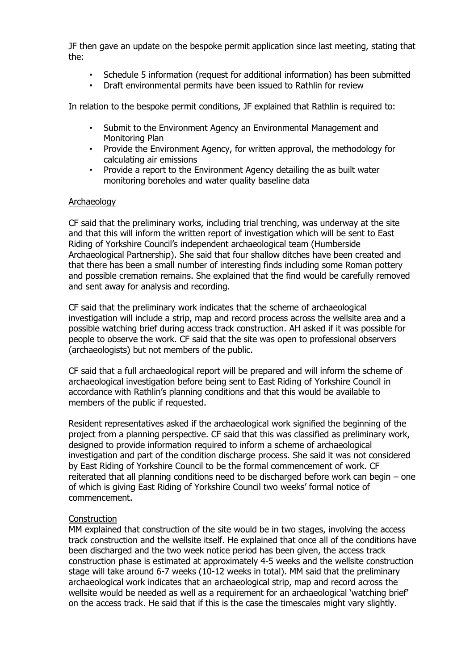JF then gave an update on the bespoke permit application since last meeting, stating that the:

- Schedule 5 information (request for additional information) has been submitted
- Draft environmental permits have been issued to Rathlin for review

In relation to the bespoke permit conditions, JF explained that Rathlin is required to:

- Submit to the Environment Agency an Environmental Management and Monitoring Plan
- Provide the Environment Agency, for written approval, the methodology for calculating air emissions
- Provide a report to the Environment Agency detailing the as built water monitoring boreholes and water quality baseline data

#### **Archaeology**

CF said that the preliminary works, including trial trenching, was underway at the site and that this will inform the written report of investigation which will be sent to East Riding of Yorkshire Council's independent archaeological team (Humberside Archaeological Partnership). She said that four shallow ditches have been created and that there has been a small number of interesting finds including some Roman pottery and possible cremation remains. She explained that the find would be carefully removed and sent away for analysis and recording.

CF said that the preliminary work indicates that the scheme of archaeological investigation will include a strip, map and record process across the wellsite area and a possible watching brief during access track construction. AH asked if it was possible for people to observe the work. CF said that the site was open to professional observers (archaeologists) but not members of the public.

CF said that a full archaeological report will be prepared and will inform the scheme of archaeological investigation before being sent to East Riding of Yorkshire Council in accordance with Rathlin's planning conditions and that this would be available to members of the public if requested.

Resident representatives asked if the archaeological work signified the beginning of the project from a planning perspective. CF said that this was classified as preliminary work, designed to provide information required to inform a scheme of archaeological investigation and part of the condition discharge process. She said it was not considered by East Riding of Yorkshire Council to be the formal commencement of work. CF reiterated that all planning conditions need to be discharged before work can begin – one of which is giving East Riding of Yorkshire Council two weeks' formal notice of commencement.

#### Construction

MM explained that construction of the site would be in two stages, involving the access track construction and the wellsite itself. He explained that once all of the conditions have been discharged and the two week notice period has been given, the access track construction phase is estimated at approximately 4-5 weeks and the wellsite construction stage will take around 6-7 weeks (10-12 weeks in total). MM said that the preliminary archaeological work indicates that an archaeological strip, map and record across the wellsite would be needed as well as a requirement for an archaeological 'watching brief' on the access track. He said that if this is the case the timescales might vary slightly.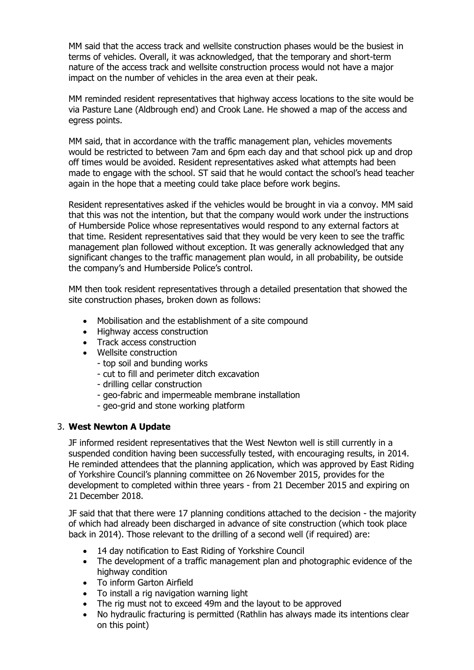MM said that the access track and wellsite construction phases would be the busiest in terms of vehicles. Overall, it was acknowledged, that the temporary and short-term nature of the access track and wellsite construction process would not have a major impact on the number of vehicles in the area even at their peak.

MM reminded resident representatives that highway access locations to the site would be via Pasture Lane (Aldbrough end) and Crook Lane. He showed a map of the access and egress points.

MM said, that in accordance with the traffic management plan, vehicles movements would be restricted to between 7am and 6pm each day and that school pick up and drop off times would be avoided. Resident representatives asked what attempts had been made to engage with the school. ST said that he would contact the school's head teacher again in the hope that a meeting could take place before work begins.

Resident representatives asked if the vehicles would be brought in via a convoy. MM said that this was not the intention, but that the company would work under the instructions of Humberside Police whose representatives would respond to any external factors at that time. Resident representatives said that they would be very keen to see the traffic management plan followed without exception. It was generally acknowledged that any significant changes to the traffic management plan would, in all probability, be outside the company's and Humberside Police's control.

MM then took resident representatives through a detailed presentation that showed the site construction phases, broken down as follows:

- Mobilisation and the establishment of a site compound
- Highway access construction
- Track access construction
- Wellsite construction
	- top soil and bunding works
	- cut to fill and perimeter ditch excavation
	- drilling cellar construction
	- geo-fabric and impermeable membrane installation
	- geo-grid and stone working platform

#### 3. **West Newton A Update**

JF informed resident representatives that the West Newton well is still currently in a suspended condition having been successfully tested, with encouraging results, in 2014. He reminded attendees that the planning application, which was approved by East Riding of Yorkshire Council's planning committee on 26 November 2015, provides for the development to completed within three years - from 21 December 2015 and expiring on 21 December 2018.

JF said that that there were 17 planning conditions attached to the decision - the majority of which had already been discharged in advance of site construction (which took place back in 2014). Those relevant to the drilling of a second well (if required) are:

- 14 day notification to East Riding of Yorkshire Council
- The development of a traffic management plan and photographic evidence of the highway condition
- To inform Garton Airfield
- To install a rig navigation warning light
- The rig must not to exceed 49m and the layout to be approved
- No hydraulic fracturing is permitted (Rathlin has always made its intentions clear on this point)